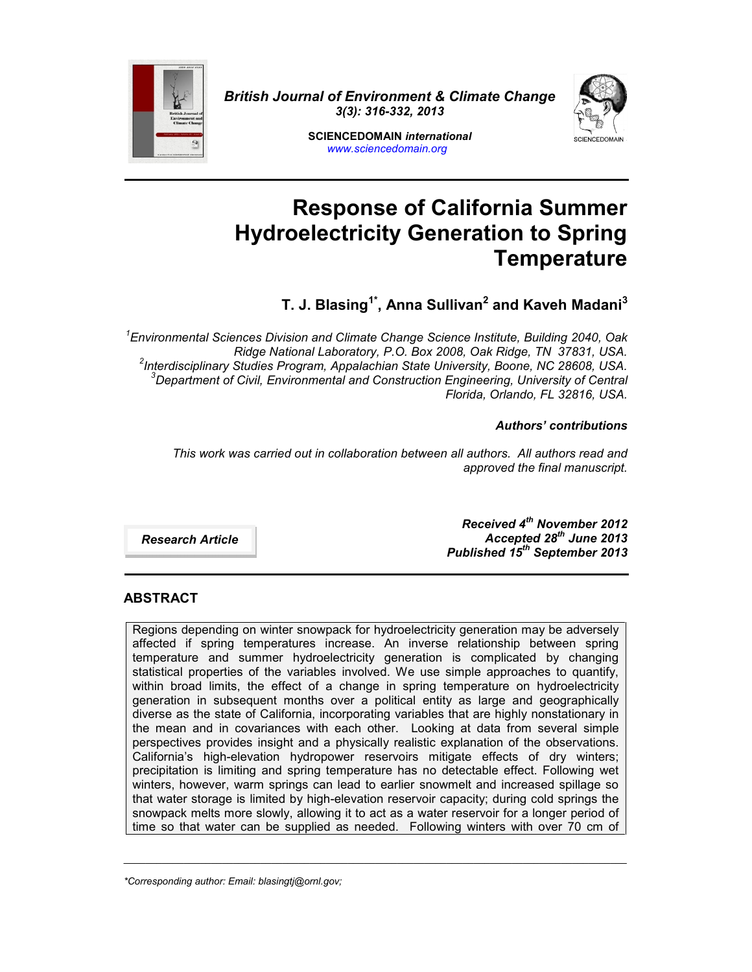

*British Journal of Environment & Climate Change 3(3): 316-332, 2013*



**SCIENCEDOMAIN** *international www.sciencedomain.org*

# **Response of California Summer Hydroelectricity Generation to Spring Temperature**

**T. J. Blasing1\*, Anna Sullivan<sup>2</sup> and Kaveh Madani<sup>3</sup>**

*<sup>1</sup>Environmental Sciences Division and Climate Change Science Institute, Building 2040, Oak Ridge National Laboratory, P.O. Box 2008, Oak Ridge, TN 37831, USA. <sup>2</sup> Interdisciplinary Studies Program, Appalachian State University, Boone, NC 28608, USA. <sup>3</sup>Department of Civil, Environmental and Construction Engineering, University of Central Florida, Orlando, FL 32816, USA.*

*Authors' contributions*

*This work was carried out in collaboration between all authors. All authors read and approved the final manuscript.*

*Research Article*

*Received 4th November 2012 Accepted 28th June 2013 Published 15th September 2013*

# **ABSTRACT**

Regions depending on winter snowpack for hydroelectricity generation may be adversely affected if spring temperatures increase. An inverse relationship between spring temperature and summer hydroelectricity generation is complicated by changing statistical properties of the variables involved. We use simple approaches to quantify, within broad limits, the effect of a change in spring temperature on hydroelectricity generation in subsequent months over a political entity as large and geographically diverse as the state of California, incorporating variables that are highly nonstationary in the mean and in covariances with each other. Looking at data from several simple perspectives provides insight and a physically realistic explanation of the observations. California's high-elevation hydropower reservoirs mitigate effects of dry winters; precipitation is limiting and spring temperature has no detectable effect. Following wet winters, however, warm springs can lead to earlier snowmelt and increased spillage so that water storage is limited by high-elevation reservoir capacity; during cold springs the snowpack melts more slowly, allowing it to act as a water reservoir for a longer period of time so that water can be supplied as needed. Following winters with over 70 cm of

\_\_\_\_\_\_\_\_\_\_\_\_\_\_\_\_\_\_\_\_\_\_\_\_\_\_\_\_\_\_\_\_\_\_\_\_\_\_\_\_\_\_\_\_\_\_\_\_\_\_\_\_\_\_\_\_\_\_\_\_\_\_\_\_\_\_\_\_\_\_\_\_\_\_\_\_\_\_\_\_\_\_\_\_\_\_\_\_\_\_\_\_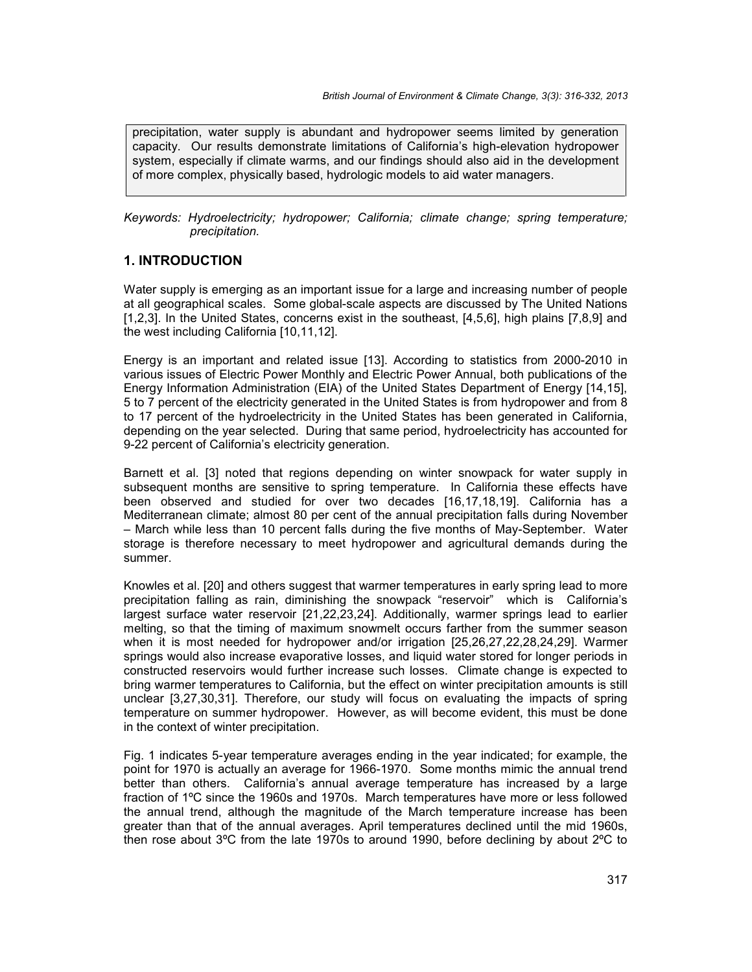precipitation, water supply is abundant and hydropower seems limited by generation capacity. Our results demonstrate limitations of California's high-elevation hydropower system, especially if climate warms, and our findings should also aid in the development of more complex, physically based, hydrologic models to aid water managers.

#### *Keywords: Hydroelectricity; hydropower; California; climate change; spring temperature; precipitation.*

## **1. INTRODUCTION**

Water supply is emerging as an important issue for a large and increasing number of people at all geographical scales. Some global-scale aspects are discussed by The United Nations [1,2,3]. In the United States, concerns exist in the southeast, [4,5,6], high plains [7,8,9] and the west including California [10,11,12].

Energy is an important and related issue [13]. According to statistics from 2000-2010 in various issues of Electric Power Monthly and Electric Power Annual, both publications of the Energy Information Administration (EIA) of the United States Department of Energy [14,15], 5 to 7 percent of the electricity generated in the United States is from hydropower and from 8 to 17 percent of the hydroelectricity in the United States has been generated in California, depending on the year selected. During that same period, hydroelectricity has accounted for 9-22 percent of California's electricity generation.

Barnett et al. [3] noted that regions depending on winter snowpack for water supply in subsequent months are sensitive to spring temperature. In California these effects have been observed and studied for over two decades [16,17,18,19]. California has a Mediterranean climate; almost 80 per cent of the annual precipitation falls during November – March while less than 10 percent falls during the five months of May-September. Water storage is therefore necessary to meet hydropower and agricultural demands during the summer.

Knowles et al. [20] and others suggest that warmer temperatures in early spring lead to more precipitation falling as rain, diminishing the snowpack "reservoir" which is California's largest surface water reservoir [21,22,23,24]. Additionally, warmer springs lead to earlier melting, so that the timing of maximum snowmelt occurs farther from the summer season when it is most needed for hydropower and/or irrigation [25,26,27,22,28,24,29]. Warmer springs would also increase evaporative losses, and liquid water stored for longer periods in constructed reservoirs would further increase such losses. Climate change is expected to bring warmer temperatures to California, but the effect on winter precipitation amounts is still unclear [3,27,30,31]. Therefore, our study will focus on evaluating the impacts of spring temperature on summer hydropower. However, as will become evident, this must be done in the context of winter precipitation.

Fig. 1 indicates 5-year temperature averages ending in the year indicated; for example, the point for 1970 is actually an average for 1966-1970. Some months mimic the annual trend better than others. California's annual average temperature has increased by a large fraction of 1ºC since the 1960s and 1970s. March temperatures have more or less followed the annual trend, although the magnitude of the March temperature increase has been greater than that of the annual averages. April temperatures declined until the mid 1960s, then rose about 3ºC from the late 1970s to around 1990, before declining by about 2ºC to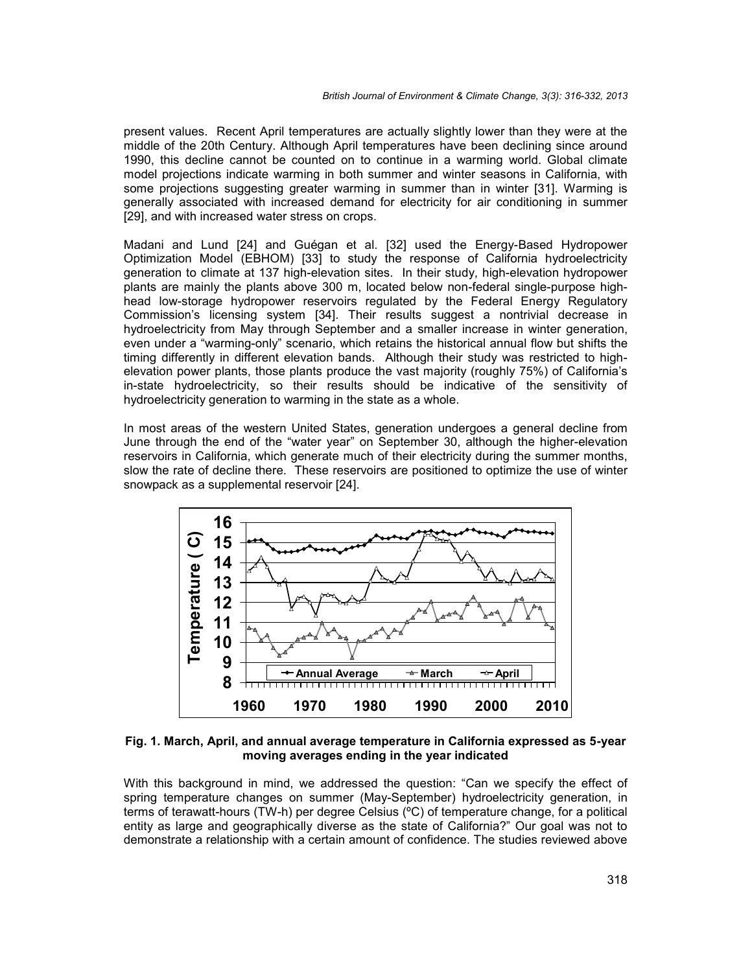present values. Recent April temperatures are actually slightly lower than they were at the middle of the 20th Century. Although April temperatures have been declining since around 1990, this decline cannot be counted on to continue in a warming world. Global climate model projections indicate warming in both summer and winter seasons in California, with some projections suggesting greater warming in summer than in winter [31]. Warming is generally associated with increased demand for electricity for air conditioning in summer [29], and with increased water stress on crops.

Madani and Lund [24] and Guégan et al. [32] used the Energy-Based Hydropower Optimization Model (EBHOM) [33] to study the response of California hydroelectricity generation to climate at 137 high-elevation sites. In their study, high-elevation hydropower plants are mainly the plants above 300 m, located below non-federal single-purpose high head low-storage hydropower reservoirs regulated by the Federal Energy Regulatory Commission's licensing system [34]. Their results suggest a nontrivial decrease in hydroelectricity from May through September and a smaller increase in winter generation, even under a "warming-only" scenario, which retains the historical annual flow but shifts the timing differently in different elevation bands. Although their study was restricted to high elevation power plants, those plants produce the vast majority (roughly 75%) of California's in-state hydroelectricity, so their results should be indicative of the sensitivity of hydroelectricity generation to warming in the state as a whole.

In most areas of the western United States, generation undergoes a general decline from June through the end of the "water year" on September 30, although the higher-elevation reservoirs in California, which generate much of their electricity during the summer months, slow the rate of decline there. These reservoirs are positioned to optimize the use of winter snowpack as a supplemental reservoir [24].



**Fig. 1. March, April, and annual average temperature in California expressed as 5-year moving averages ending in the year indicated**

With this background in mind, we addressed the question: "Can we specify the effect of spring temperature changes on summer (May-September) hydroelectricity generation, in terms of terawatt-hours (TW-h) per degree Celsius (ºC) of temperature change, for a political entity as large and geographically diverse as the state of California?" Our goal was not to demonstrate a relationship with a certain amount of confidence. The studies reviewed above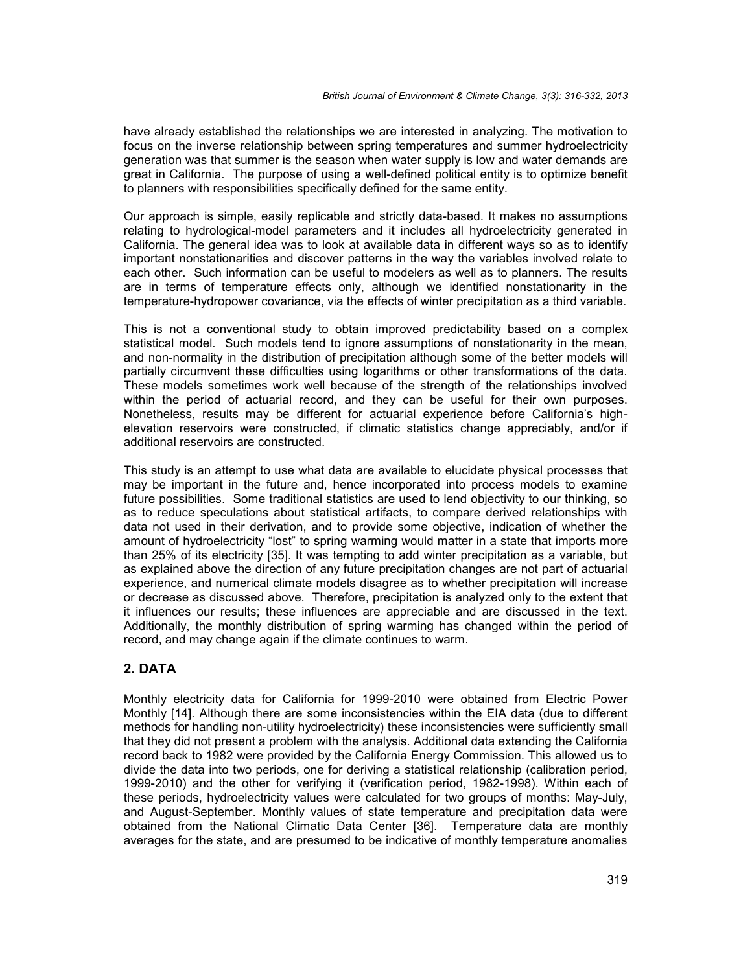have already established the relationships we are interested in analyzing. The motivation to focus on the inverse relationship between spring temperatures and summer hydroelectricity generation was that summer is the season when water supply is low and water demands are great in California. The purpose of using a well-defined political entity is to optimize benefit to planners with responsibilities specifically defined for the same entity.

Our approach is simple, easily replicable and strictly data-based. It makes no assumptions relating to hydrological-model parameters and it includes all hydroelectricity generated in California. The general idea was to look at available data in different ways so as to identify important nonstationarities and discover patterns in the way the variables involved relate to each other. Such information can be useful to modelers as well as to planners. The results are in terms of temperature effects only, although we identified nonstationarity in the temperature-hydropower covariance, via the effects of winter precipitation as a third variable.

This is not a conventional study to obtain improved predictability based on a complex statistical model. Such models tend to ignore assumptions of nonstationarity in the mean, and non-normality in the distribution of precipitation although some of the better models will partially circumvent these difficulties using logarithms or other transformations of the data. These models sometimes work well because of the strength of the relationships involved within the period of actuarial record, and they can be useful for their own purposes. Nonetheless, results may be different for actuarial experience before California's high elevation reservoirs were constructed, if climatic statistics change appreciably, and/or if additional reservoirs are constructed.

This study is an attempt to use what data are available to elucidate physical processes that may be important in the future and, hence incorporated into process models to examine future possibilities. Some traditional statistics are used to lend objectivity to our thinking, so as to reduce speculations about statistical artifacts, to compare derived relationships with data not used in their derivation, and to provide some objective, indication of whether the amount of hydroelectricity "lost" to spring warming would matter in a state that imports more than 25% of its electricity [35]. It was tempting to add winter precipitation as a variable, but as explained above the direction of any future precipitation changes are not part of actuarial experience, and numerical climate models disagree as to whether precipitation will increase or decrease as discussed above. Therefore, precipitation is analyzed only to the extent that it influences our results; these influences are appreciable and are discussed in the text. Additionally, the monthly distribution of spring warming has changed within the period of record, and may change again if the climate continues to warm.

# **2. DATA**

Monthly electricity data for California for 1999-2010 were obtained from Electric Power Monthly [14]. Although there are some inconsistencies within the EIA data (due to different methods for handling non-utility hydroelectricity) these inconsistencies were sufficiently small that they did not present a problem with the analysis. Additional data extending the California record back to 1982 were provided by the California Energy Commission. This allowed us to divide the data into two periods, one for deriving a statistical relationship (calibration period, 1999-2010) and the other for verifying it (verification period, 1982-1998). Within each of these periods, hydroelectricity values were calculated for two groups of months: May-July, and August-September. Monthly values of state temperature and precipitation data were obtained from the National Climatic Data Center [36]. Temperature data are monthly averages for the state, and are presumed to be indicative of monthly temperature anomalies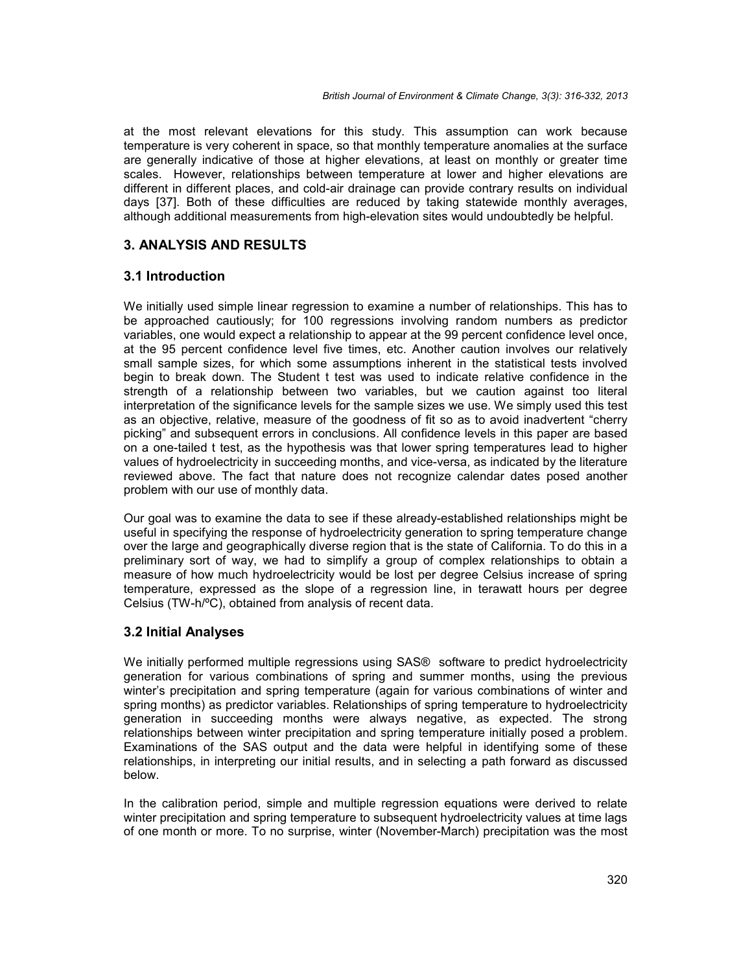at the most relevant elevations for this study. This assumption can work because temperature is very coherent in space, so that monthly temperature anomalies at the surface are generally indicative of those at higher elevations, at least on monthly or greater time scales. However, relationships between temperature at lower and higher elevations are different in different places, and cold-air drainage can provide contrary results on individual days [37]. Both of these difficulties are reduced by taking statewide monthly averages, although additional measurements from high-elevation sites would undoubtedly be helpful.

## **3. ANALYSIS AND RESULTS**

## **3.1 Introduction**

We initially used simple linear regression to examine a number of relationships. This has to be approached cautiously; for 100 regressions involving random numbers as predictor variables, one would expect a relationship to appear at the 99 percent confidence level once, at the 95 percent confidence level five times, etc. Another caution involves our relatively small sample sizes, for which some assumptions inherent in the statistical tests involved begin to break down. The Student t test was used to indicate relative confidence in the strength of a relationship between two variables, but we caution against too literal interpretation of the significance levels for the sample sizes we use. We simply used this test as an objective, relative, measure of the goodness of fit so as to avoid inadvertent "cherry picking" and subsequent errors in conclusions. All confidence levels in this paper are based on a one-tailed t test, as the hypothesis was that lower spring temperatures lead to higher values of hydroelectricity in succeeding months, and vice-versa, as indicated by the literature reviewed above. The fact that nature does not recognize calendar dates posed another problem with our use of monthly data.

Our goal was to examine the data to see if these already-established relationships might be useful in specifying the response of hydroelectricity generation to spring temperature change over the large and geographically diverse region that is the state of California. To do this in a preliminary sort of way, we had to simplify a group of complex relationships to obtain a measure of how much hydroelectricity would be lost per degree Celsius increase of spring temperature, expressed as the slope of a regression line, in terawatt hours per degree Celsius (TW-h/ºC), obtained from analysis of recent data.

## **3.2 Initial Analyses**

We initially performed multiple regressions using SAS® software to predict hydroelectricity generation for various combinations of spring and summer months, using the previous winter's precipitation and spring temperature (again for various combinations of winter and spring months) as predictor variables. Relationships of spring temperature to hydroelectricity generation in succeeding months were always negative, as expected. The strong relationships between winter precipitation and spring temperature initially posed a problem. Examinations of the SAS output and the data were helpful in identifying some of these relationships, in interpreting our initial results, and in selecting a path forward as discussed below.

In the calibration period, simple and multiple regression equations were derived to relate winter precipitation and spring temperature to subsequent hydroelectricity values at time lags of one month or more. To no surprise, winter (November-March) precipitation was the most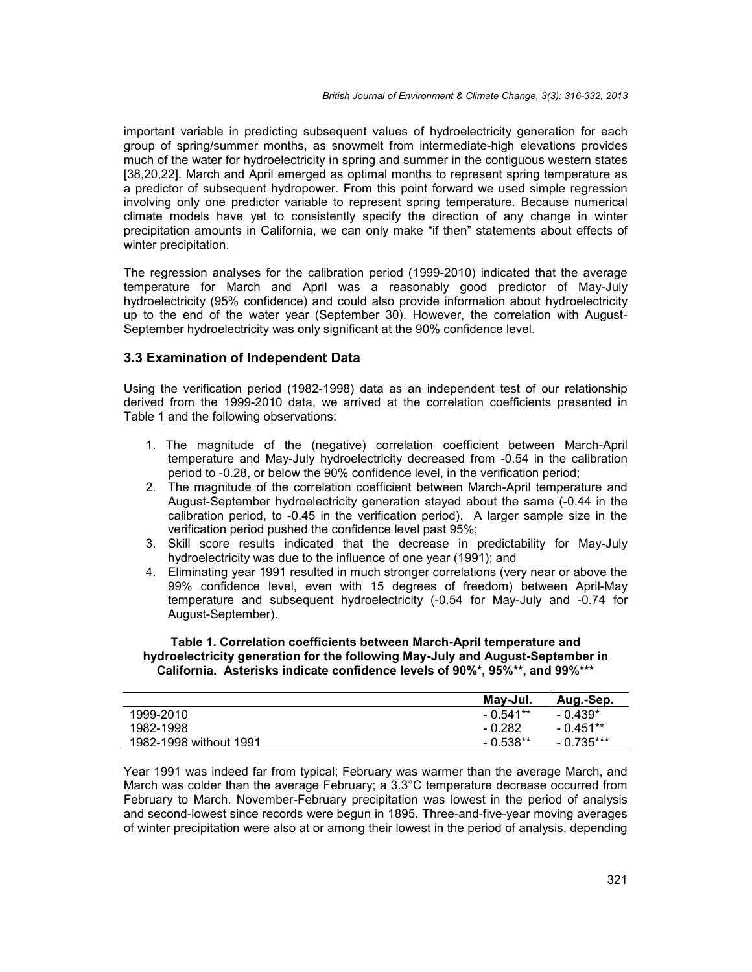important variable in predicting subsequent values of hydroelectricity generation for each group of spring/summer months, as snowmelt from intermediate-high elevations provides much of the water for hydroelectricity in spring and summer in the contiguous western states [38,20,22]. March and April emerged as optimal months to represent spring temperature as a predictor of subsequent hydropower. From this point forward we used simple regression involving only one predictor variable to represent spring temperature. Because numerical climate models have yet to consistently specify the direction of any change in winter precipitation amounts in California, we can only make "if then" statements about effects of winter precipitation.

The regression analyses for the calibration period (1999-2010) indicated that the average temperature for March and April was a reasonably good predictor of May-July hydroelectricity (95% confidence) and could also provide information about hydroelectricity up to the end of the water year (September 30). However, the correlation with August- September hydroelectricity was only significant at the 90% confidence level.

## **3.3 Examination of Independent Data**

Using the verification period (1982-1998) data as an independent test of our relationship derived from the 1999-2010 data, we arrived at the correlation coefficients presented in Table 1 and the following observations:

- 1. The magnitude of the (negative) correlation coefficient between March-April temperature and May-July hydroelectricity decreased from -0.54 in the calibration period to -0.28, or below the 90% confidence level, in the verification period;
- 2. The magnitude of the correlation coefficient between March-April temperature and August-September hydroelectricity generation stayed about the same (-0.44 in the calibration period, to -0.45 in the verification period). A larger sample size in the verification period pushed the confidence level past 95%;
- 3. Skill score results indicated that the decrease in predictability for May-July hydroelectricity was due to the influence of one year (1991); and
- 4. Eliminating year 1991 resulted in much stronger correlations (very near or above the 99% confidence level, even with 15 degrees of freedom) between April-May temperature and subsequent hydroelectricity (-0.54 for May-July and -0.74 for August-September).

#### **Table 1. Correlation coefficients between March-April temperature and hydroelectricity generation for the following May-July and August-September in California. Asterisks indicate confidence levels of 90%\*, 95%\*\*, and 99%\*\*\***

|                        | May-Jul.   | Aug.-Sep.   |
|------------------------|------------|-------------|
| 1999-2010              | $-0.541**$ | $-0.439*$   |
| 1982-1998              | - 0.282    | $-0.451***$ |
| 1982-1998 without 1991 | $-0.538**$ | - 0.735***  |

Year 1991 was indeed far from typical; February was warmer than the average March, and March was colder than the average February; a 3.3°C temperature decrease occurred from February to March. November-February precipitation was lowest in the period of analysis and second-lowest since records were begun in 1895. Three-and-five-year moving averages of winter precipitation were also at or among their lowest in the period of analysis, depending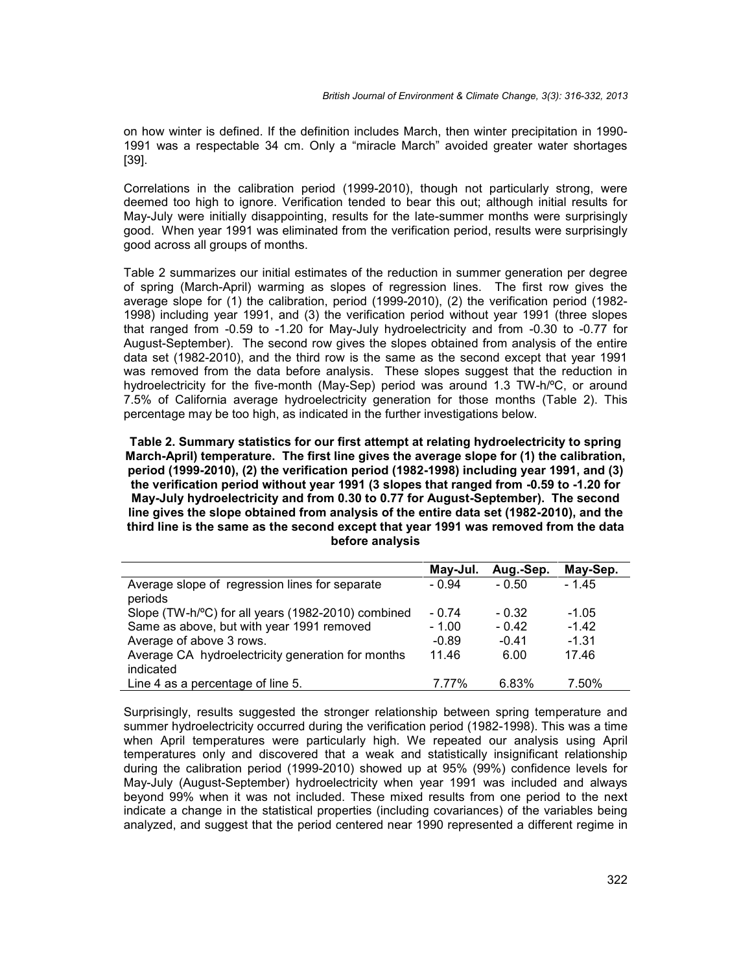on how winter is defined. If the definition includes March, then winter precipitation in 1990- 1991 was a respectable 34 cm. Only a "miracle March" avoided greater water shortages [39].

Correlations in the calibration period (1999-2010), though not particularly strong, were deemed too high to ignore. Verification tended to bear this out; although initial results for May-July were initially disappointing, results for the late-summer months were surprisingly good. When year 1991 was eliminated from the verification period, results were surprisingly good across all groups of months.

Table 2 summarizes our initial estimates of the reduction in summer generation per degree of spring (March-April) warming as slopes of regression lines. The first row gives the average slope for (1) the calibration, period (1999-2010), (2) the verification period (1982- 1998) including year 1991, and (3) the verification period without year 1991 (three slopes that ranged from -0.59 to -1.20 for May-July hydroelectricity and from -0.30 to -0.77 for August-September). The second row gives the slopes obtained from analysis of the entire data set (1982-2010), and the third row is the same as the second except that year 1991 was removed from the data before analysis. These slopes suggest that the reduction in hydroelectricity for the five-month (May-Sep) period was around 1.3 TW-h/ºC, or around 7.5% of California average hydroelectricity generation for those months (Table 2). This percentage may be too high, as indicated in the further investigations below.

**Table 2. Summary statistics for our first attempt at relating hydroelectricity to spring March-April) temperature. The first line gives the average slope for (1) the calibration, period (1999-2010), (2) the verification period (1982-1998) including year 1991, and (3) the verification period without year 1991 (3 slopes that ranged from -0.59 to -1.20 for May-July hydroelectricity and from 0.30 to 0.77 for August-September). The second line gives the slope obtained from analysis of the entire data set (1982-2010), and the third line is the same as the second except that year 1991 was removed from the data before analysis**

|                                                                | May-Jul. | Aug.-Sep. | May-Sep. |
|----------------------------------------------------------------|----------|-----------|----------|
| Average slope of regression lines for separate<br>periods      | - 0.94   | - 0.50    | $-1.45$  |
| Slope (TW-h/°C) for all years (1982-2010) combined             | $-0.74$  | $-0.32$   | $-1.05$  |
| Same as above, but with year 1991 removed                      | $-1.00$  | $-0.42$   | $-1.42$  |
| Average of above 3 rows.                                       | $-0.89$  | $-0.41$   | $-1.31$  |
| Average CA hydroelectricity generation for months<br>indicated | 11.46    | 6.00      | 17.46    |
| Line 4 as a percentage of line 5.                              | 7.77%    | 6.83%     | 7.50%    |

Surprisingly, results suggested the stronger relationship between spring temperature and summer hydroelectricity occurred during the verification period (1982-1998). This was a time when April temperatures were particularly high. We repeated our analysis using April temperatures only and discovered that a weak and statistically insignificant relationship during the calibration period (1999-2010) showed up at 95% (99%) confidence levels for May-July (August-September) hydroelectricity when year 1991 was included and always beyond 99% when it was not included. These mixed results from one period to the next indicate a change in the statistical properties (including covariances) of the variables being analyzed, and suggest that the period centered near 1990 represented a different regime in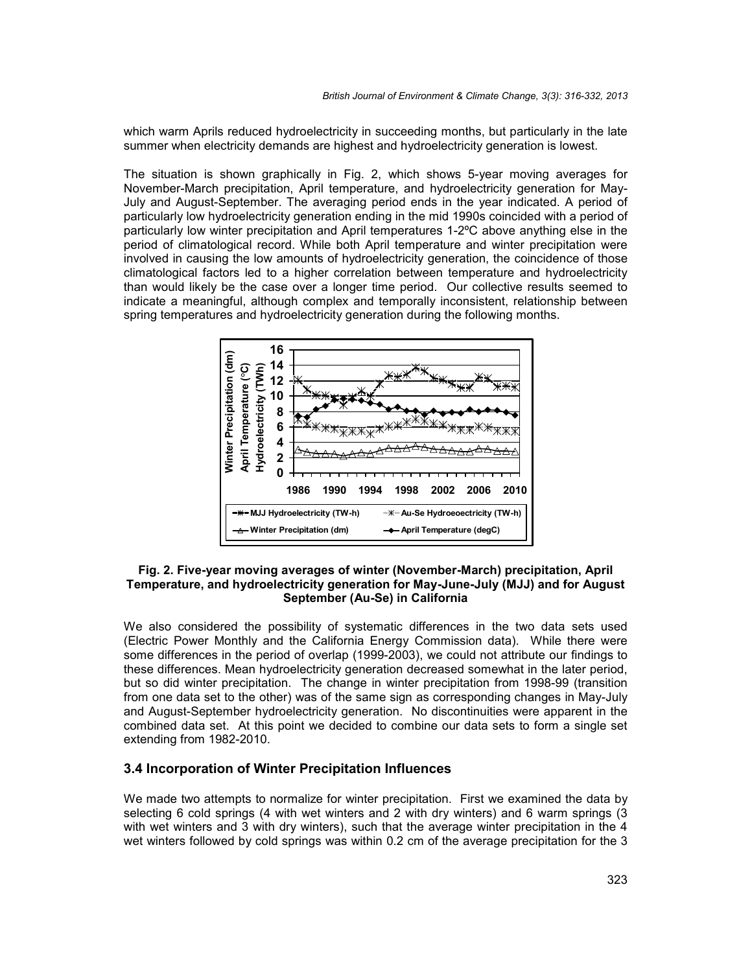which warm Aprils reduced hydroelectricity in succeeding months, but particularly in the late summer when electricity demands are highest and hydroelectricity generation is lowest.

The situation is shown graphically in Fig. 2, which shows 5-year moving averages for November-March precipitation, April temperature, and hydroelectricity generation for May- July and August-September. The averaging period ends in the year indicated. A period of particularly low hydroelectricity generation ending in the mid 1990s coincided with a period of particularly low winter precipitation and April temperatures 1-2ºC above anything else in the period of climatological record. While both April temperature and winter precipitation were involved in causing the low amounts of hydroelectricity generation, the coincidence of those climatological factors led to a higher correlation between temperature and hydroelectricity than would likely be the case over a longer time period. Our collective results seemed to indicate a meaningful, although complex and temporally inconsistent, relationship between spring temperatures and hydroelectricity generation during the following months.



#### **Fig. 2. Five-year moving averages of winter (November-March) precipitation, April Temperature, and hydroelectricity generation for May-June-July (MJJ) and for August September (Au-Se) in California**

We also considered the possibility of systematic differences in the two data sets used (Electric Power Monthly and the California Energy Commission data). While there were some differences in the period of overlap (1999-2003), we could not attribute our findings to these differences. Mean hydroelectricity generation decreased somewhat in the later period, but so did winter precipitation. The change in winter precipitation from 1998-99 (transition from one data set to the other) was of the same sign as corresponding changes in May-July and August-September hydroelectricity generation. No discontinuities were apparent in the combined data set. At this point we decided to combine our data sets to form a single set extending from 1982-2010.

## **3.4 Incorporation of Winter Precipitation Influences**

We made two attempts to normalize for winter precipitation. First we examined the data by selecting 6 cold springs (4 with wet winters and 2 with dry winters) and 6 warm springs (3 with wet winters and 3 with dry winters), such that the average winter precipitation in the 4 wet winters followed by cold springs was within 0.2 cm of the average precipitation for the 3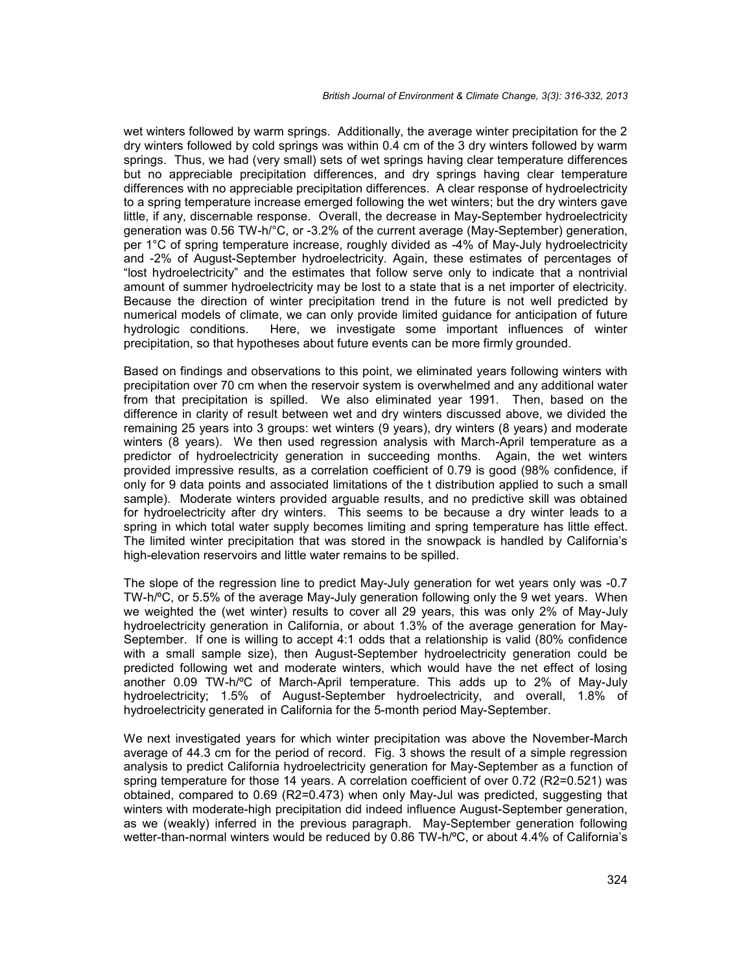wet winters followed by warm springs. Additionally, the average winter precipitation for the 2 dry winters followed by cold springs was within 0.4 cm of the 3 dry winters followed by warm springs. Thus, we had (very small) sets of wet springs having clear temperature differences but no appreciable precipitation differences, and dry springs having clear temperature differences with no appreciable precipitation differences. A clear response of hydroelectricity to a spring temperature increase emerged following the wet winters; but the dry winters gave little, if any, discernable response. Overall, the decrease in May-September hydroelectricity generation was 0.56 TW-h/°C, or -3.2% of the current average (May-September) generation, per 1°C of spring temperature increase, roughly divided as -4% of May-July hydroelectricity and -2% of August-September hydroelectricity. Again, these estimates of percentages of "lost hydroelectricity" and the estimates that follow serve only to indicate that a nontrivial amount of summer hydroelectricity may be lost to a state that is a net importer of electricity. Because the direction of winter precipitation trend in the future is not well predicted by numerical models of climate, we can only provide limited guidance for anticipation of future hydrologic conditions. Here, we investigate some important influences of winter precipitation, so that hypotheses about future events can be more firmly grounded.

Based on findings and observations to this point, we eliminated years following winters with precipitation over 70 cm when the reservoir system is overwhelmed and any additional water from that precipitation is spilled. We also eliminated year 1991. Then, based on the difference in clarity of result between wet and dry winters discussed above, we divided the remaining 25 years into 3 groups: wet winters (9 years), dry winters (8 years) and moderate winters (8 years). We then used regression analysis with March-April temperature as a predictor of hydroelectricity generation in succeeding months. Again, the wet winters provided impressive results, as a correlation coefficient of 0.79 is good (98% confidence, if only for 9 data points and associated limitations of the t distribution applied to such a small sample). Moderate winters provided arguable results, and no predictive skill was obtained for hydroelectricity after dry winters. This seems to be because a dry winter leads to a spring in which total water supply becomes limiting and spring temperature has little effect. The limited winter precipitation that was stored in the snowpack is handled by California's high-elevation reservoirs and little water remains to be spilled.

The slope of the regression line to predict May-July generation for wet years only was -0.7 TW-h/ºC, or 5.5% of the average May-July generation following only the 9 wet years. When we weighted the (wet winter) results to cover all 29 years, this was only 2% of May-July hydroelectricity generation in California, or about 1.3% of the average generation for May- September. If one is willing to accept 4:1 odds that a relationship is valid (80% confidence with a small sample size), then August-September hydroelectricity generation could be predicted following wet and moderate winters, which would have the net effect of losing another 0.09 TW-h/ºC of March-April temperature. This adds up to 2% of May-July hydroelectricity; 1.5% of August-September hydroelectricity, and overall, 1.8% of hydroelectricity generated in California for the 5-month period May-September.

We next investigated years for which winter precipitation was above the November-March average of 44.3 cm for the period of record. Fig. 3 shows the result of a simple regression analysis to predict California hydroelectricity generation for May-September as a function of spring temperature for those 14 years. A correlation coefficient of over 0.72 (R2=0.521) was obtained, compared to 0.69 (R2=0.473) when only May-Jul was predicted, suggesting that winters with moderate-high precipitation did indeed influence August-September generation, as we (weakly) inferred in the previous paragraph. May-September generation following wetter-than-normal winters would be reduced by 0.86 TW-h/ºC, or about 4.4% of California's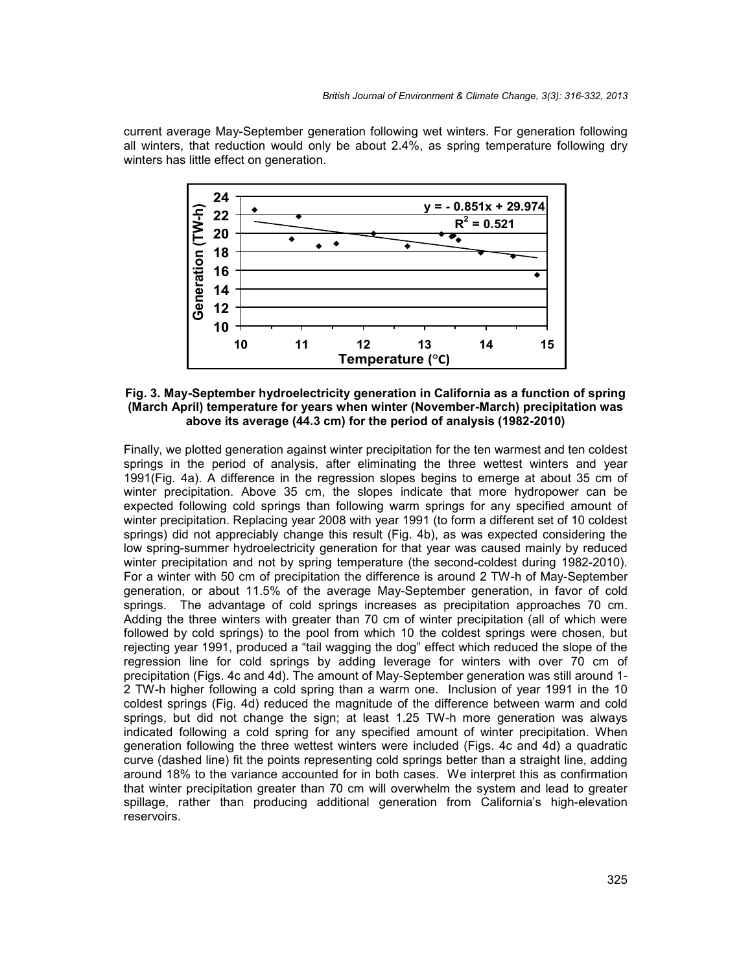current average May-September generation following wet winters. For generation following all winters, that reduction would only be about 2.4%, as spring temperature following dry winters has little effect on generation.



**Fig. 3. May-September hydroelectricity generation in California as a function of spring (March April) temperature for years when winter (November-March) precipitation was above its average (44.3 cm) for the period of analysis (1982-2010)**

Finally, we plotted generation against winter precipitation for the ten warmest and ten coldest springs in the period of analysis, after eliminating the three wettest winters and year 1991(Fig. 4a). A difference in the regression slopes begins to emerge at about 35 cm of winter precipitation. Above 35 cm, the slopes indicate that more hydropower can be expected following cold springs than following warm springs for any specified amount of winter precipitation. Replacing year 2008 with year 1991 (to form a different set of 10 coldest springs) did not appreciably change this result (Fig. 4b), as was expected considering the low spring-summer hydroelectricity generation for that year was caused mainly by reduced winter precipitation and not by spring temperature (the second-coldest during 1982-2010). For a winter with 50 cm of precipitation the difference is around 2 TW-h of May-September generation, or about 11.5% of the average May-September generation, in favor of cold springs. The advantage of cold springs increases as precipitation approaches 70 cm. Adding the three winters with greater than 70 cm of winter precipitation (all of which were followed by cold springs) to the pool from which 10 the coldest springs were chosen, but rejecting year 1991, produced a "tail wagging the dog" effect which reduced the slope of the regression line for cold springs by adding leverage for winters with over 70 cm of precipitation (Figs. 4c and 4d). The amount of May-September generation was still around 1- 2 TW-h higher following a cold spring than a warm one. Inclusion of year 1991 in the 10 coldest springs (Fig. 4d) reduced the magnitude of the difference between warm and cold springs, but did not change the sign; at least 1.25 TW-h more generation was always indicated following a cold spring for any specified amount of winter precipitation. When generation following the three wettest winters were included (Figs. 4c and 4d) a quadratic curve (dashed line) fit the points representing cold springs better than a straight line, adding around 18% to the variance accounted for in both cases. We interpret this as confirmation that winter precipitation greater than 70 cm will overwhelm the system and lead to greater spillage, rather than producing additional generation from California's high-elevation reservoirs.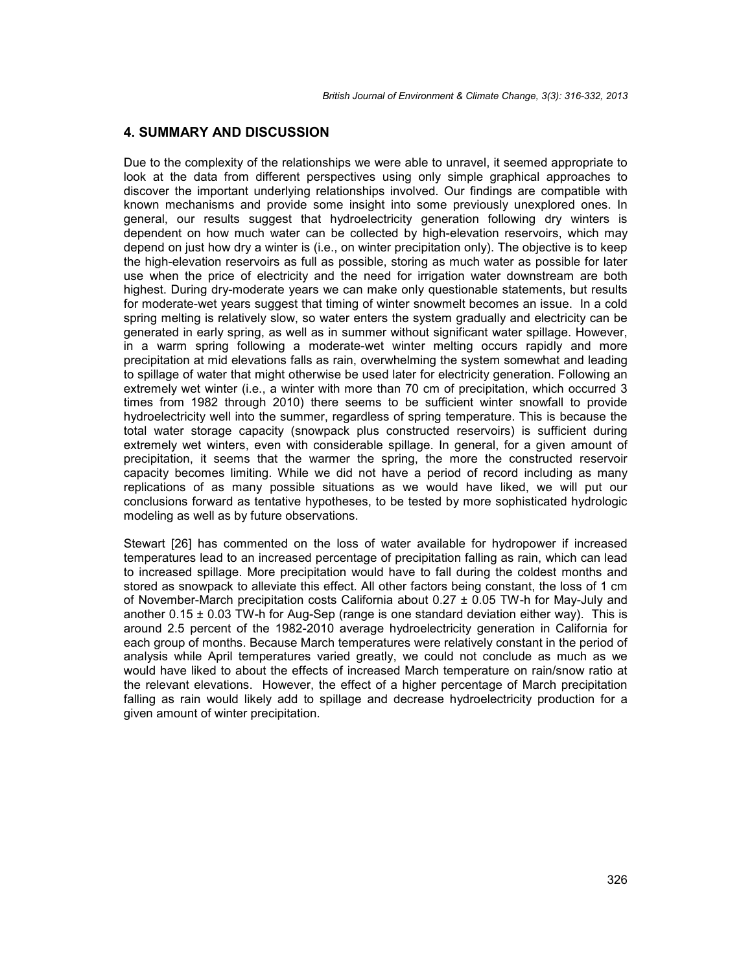## **4. SUMMARY AND DISCUSSION**

Due to the complexity of the relationships we were able to unravel, it seemed appropriate to look at the data from different perspectives using only simple graphical approaches to discover the important underlying relationships involved. Our findings are compatible with known mechanisms and provide some insight into some previously unexplored ones. In general, our results suggest that hydroelectricity generation following dry winters is dependent on how much water can be collected by high-elevation reservoirs, which may depend on just how dry a winter is (i.e., on winter precipitation only). The objective is to keep the high-elevation reservoirs as full as possible, storing as much water as possible for later use when the price of electricity and the need for irrigation water downstream are both highest. During dry-moderate years we can make only questionable statements, but results for moderate-wet years suggest that timing of winter snowmelt becomes an issue. In a cold spring melting is relatively slow, so water enters the system gradually and electricity can be generated in early spring, as well as in summer without significant water spillage. However, in a warm spring following a moderate-wet winter melting occurs rapidly and more precipitation at mid elevations falls as rain, overwhelming the system somewhat and leading to spillage of water that might otherwise be used later for electricity generation. Following an extremely wet winter (i.e., a winter with more than 70 cm of precipitation, which occurred 3 times from 1982 through 2010) there seems to be sufficient winter snowfall to provide hydroelectricity well into the summer, regardless of spring temperature. This is because the total water storage capacity (snowpack plus constructed reservoirs) is sufficient during extremely wet winters, even with considerable spillage. In general, for a given amount of precipitation, it seems that the warmer the spring, the more the constructed reservoir capacity becomes limiting. While we did not have a period of record including as many replications of as many possible situations as we would have liked, we will put our conclusions forward as tentative hypotheses, to be tested by more sophisticated hydrologic modeling as well as by future observations.

Stewart [26] has commented on the loss of water available for hydropower if increased temperatures lead to an increased percentage of precipitation falling as rain, which can lead to increased spillage. More precipitation would have to fall during the coldest months and stored as snowpack to alleviate this effect. All other factors being constant, the loss of 1 cm of November-March precipitation costs California about  $0.27 \pm 0.05$  TW-h for May-July and another  $0.15 \pm 0.03$  TW-h for Aug-Sep (range is one standard deviation either way). This is around 2.5 percent of the 1982-2010 average hydroelectricity generation in California for each group of months. Because March temperatures were relatively constant in the period of analysis while April temperatures varied greatly, we could not conclude as much as we would have liked to about the effects of increased March temperature on rain/snow ratio at the relevant elevations. However, the effect of a higher percentage of March precipitation falling as rain would likely add to spillage and decrease hydroelectricity production for a given amount of winter precipitation.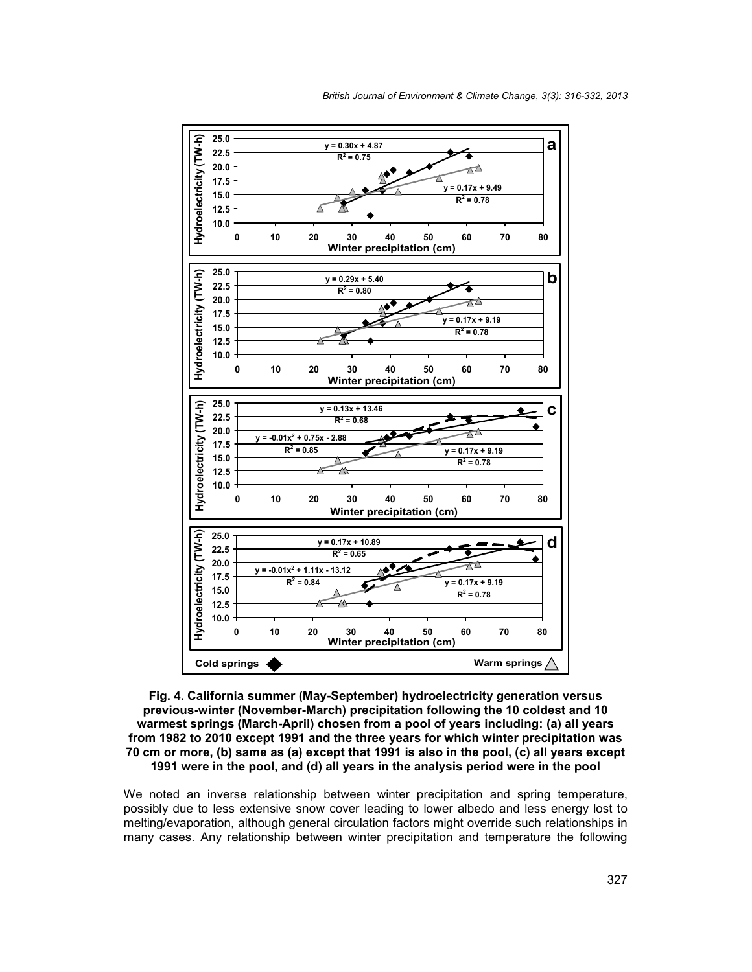



**Fig. 4. California summer (May-September) hydroelectricity generation versus previous-winter (November-March) precipitation following the 10 coldest and 10 warmest springs (March-April) chosen from a pool of years including: (a) all years from 1982 to 2010 except 1991 and the three years for which winter precipitation was 70 cm or more, (b) same as (a) except that 1991 is also in the pool, (c) all years except 1991 were in the pool, and (d) all years in the analysis period were in the pool**

We noted an inverse relationship between winter precipitation and spring temperature, possibly due to less extensive snow cover leading to lower albedo and less energy lost to melting/evaporation, although general circulation factors might override such relationships in many cases. Any relationship between winter precipitation and temperature the following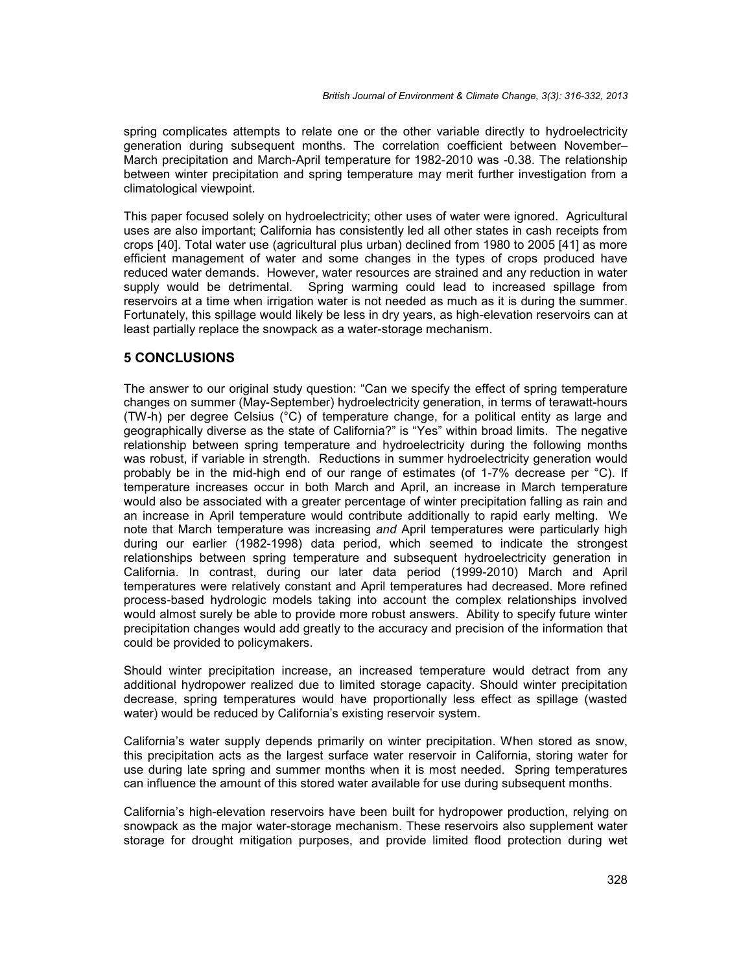spring complicates attempts to relate one or the other variable directly to hydroelectricity generation during subsequent months. The correlation coefficient between November– March precipitation and March-April temperature for 1982-2010 was -0.38. The relationship between winter precipitation and spring temperature may merit further investigation from a climatological viewpoint.

This paper focused solely on hydroelectricity; other uses of water were ignored. Agricultural uses are also important; California has consistently led all other states in cash receipts from crops [40]. Total water use (agricultural plus urban) declined from 1980 to 2005 [41] as more efficient management of water and some changes in the types of crops produced have reduced water demands. However, water resources are strained and any reduction in water supply would be detrimental. Spring warming could lead to increased spillage from reservoirs at a time when irrigation water is not needed as much as it is during the summer. Fortunately, this spillage would likely be less in dry years, as high-elevation reservoirs can at least partially replace the snowpack as a water-storage mechanism.

## **5 CONCLUSIONS**

The answer to our original study question: "Can we specify the effect of spring temperature changes on summer (May-September) hydroelectricity generation, in terms of terawatt-hours (TW-h) per degree Celsius (°C) of temperature change, for a political entity as large and geographically diverse as the state of California?" is "Yes" within broad limits. The negative relationship between spring temperature and hydroelectricity during the following months was robust, if variable in strength. Reductions in summer hydroelectricity generation would probably be in the mid-high end of our range of estimates (of 1-7% decrease per °C). If temperature increases occur in both March and April, an increase in March temperature would also be associated with a greater percentage of winter precipitation falling as rain and an increase in April temperature would contribute additionally to rapid early melting. We note that March temperature was increasing *and* April temperatures were particularly high during our earlier (1982-1998) data period, which seemed to indicate the strongest relationships between spring temperature and subsequent hydroelectricity generation in California. In contrast, during our later data period (1999-2010) March and April temperatures were relatively constant and April temperatures had decreased. More refined process-based hydrologic models taking into account the complex relationships involved would almost surely be able to provide more robust answers. Ability to specify future winter precipitation changes would add greatly to the accuracy and precision of the information that could be provided to policymakers.

Should winter precipitation increase, an increased temperature would detract from any additional hydropower realized due to limited storage capacity. Should winter precipitation decrease, spring temperatures would have proportionally less effect as spillage (wasted water) would be reduced by California's existing reservoir system.

California's water supply depends primarily on winter precipitation. When stored as snow, this precipitation acts as the largest surface water reservoir in California, storing water for use during late spring and summer months when it is most needed. Spring temperatures can influence the amount of this stored water available for use during subsequent months.

California's high-elevation reservoirs have been built for hydropower production, relying on snowpack as the major water-storage mechanism. These reservoirs also supplement water storage for drought mitigation purposes, and provide limited flood protection during wet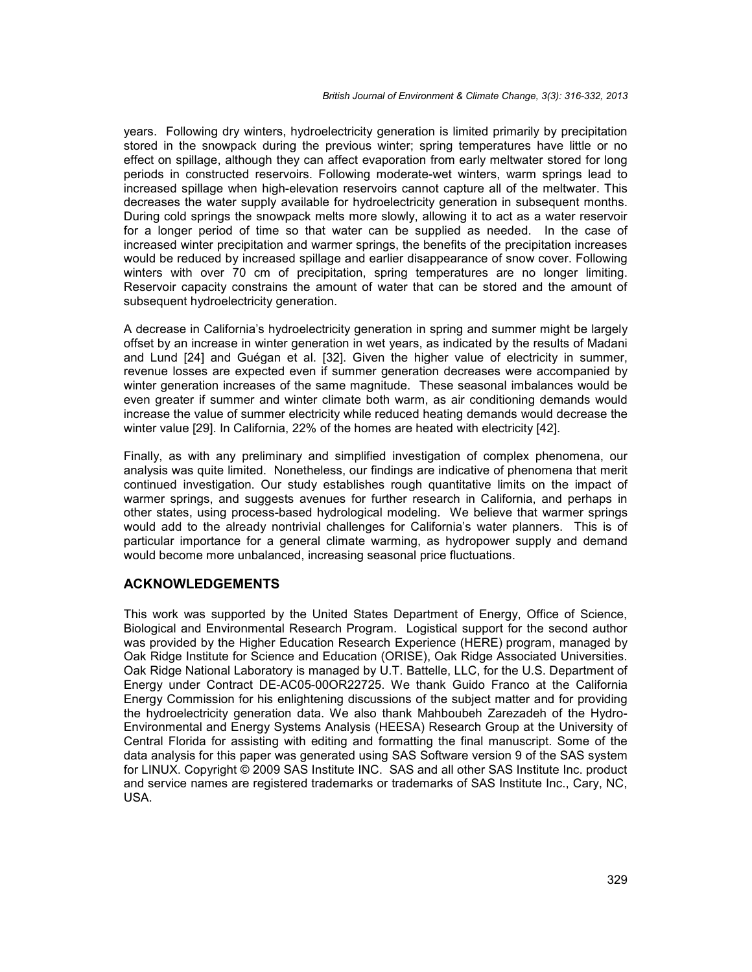years. Following dry winters, hydroelectricity generation is limited primarily by precipitation stored in the snowpack during the previous winter; spring temperatures have little or no effect on spillage, although they can affect evaporation from early meltwater stored for long periods in constructed reservoirs. Following moderate-wet winters, warm springs lead to increased spillage when high-elevation reservoirs cannot capture all of the meltwater. This decreases the water supply available for hydroelectricity generation in subsequent months. During cold springs the snowpack melts more slowly, allowing it to act as a water reservoir for a longer period of time so that water can be supplied as needed. In the case of increased winter precipitation and warmer springs, the benefits of the precipitation increases would be reduced by increased spillage and earlier disappearance of snow cover. Following winters with over 70 cm of precipitation, spring temperatures are no longer limiting. Reservoir capacity constrains the amount of water that can be stored and the amount of subsequent hydroelectricity generation.

A decrease in California's hydroelectricity generation in spring and summer might be largely offset by an increase in winter generation in wet years, as indicated by the results of Madani and Lund [24] and Guégan et al. [32]. Given the higher value of electricity in summer, revenue losses are expected even if summer generation decreases were accompanied by winter generation increases of the same magnitude. These seasonal imbalances would be even greater if summer and winter climate both warm, as air conditioning demands would increase the value of summer electricity while reduced heating demands would decrease the winter value [29]. In California, 22% of the homes are heated with electricity [42].

Finally, as with any preliminary and simplified investigation of complex phenomena, our analysis was quite limited. Nonetheless, our findings are indicative of phenomena that merit continued investigation. Our study establishes rough quantitative limits on the impact of warmer springs, and suggests avenues for further research in California, and perhaps in other states, using process-based hydrological modeling. We believe that warmer springs would add to the already nontrivial challenges for California's water planners. This is of particular importance for a general climate warming, as hydropower supply and demand would become more unbalanced, increasing seasonal price fluctuations.

## **ACKNOWLEDGEMENTS**

This work was supported by the United States Department of Energy, Office of Science, Biological and Environmental Research Program. Logistical support for the second author was provided by the Higher Education Research Experience (HERE) program, managed by Oak Ridge Institute for Science and Education (ORISE), Oak Ridge Associated Universities. Oak Ridge National Laboratory is managed by U.T. Battelle, LLC, for the U.S. Department of Energy under Contract DE-AC05-00OR22725. We thank Guido Franco at the California Energy Commission for his enlightening discussions of the subject matter and for providing the hydroelectricity generation data. We also thank Mahboubeh Zarezadeh of the Hydro- Environmental and Energy Systems Analysis (HEESA) Research Group at the University of Central Florida for assisting with editing and formatting the final manuscript. Some of the data analysis for this paper was generated using SAS Software version 9 of the SAS system for LINUX. Copyright © 2009 SAS Institute INC. SAS and all other SAS Institute Inc. product and service names are registered trademarks or trademarks of SAS Institute Inc., Cary, NC, USA.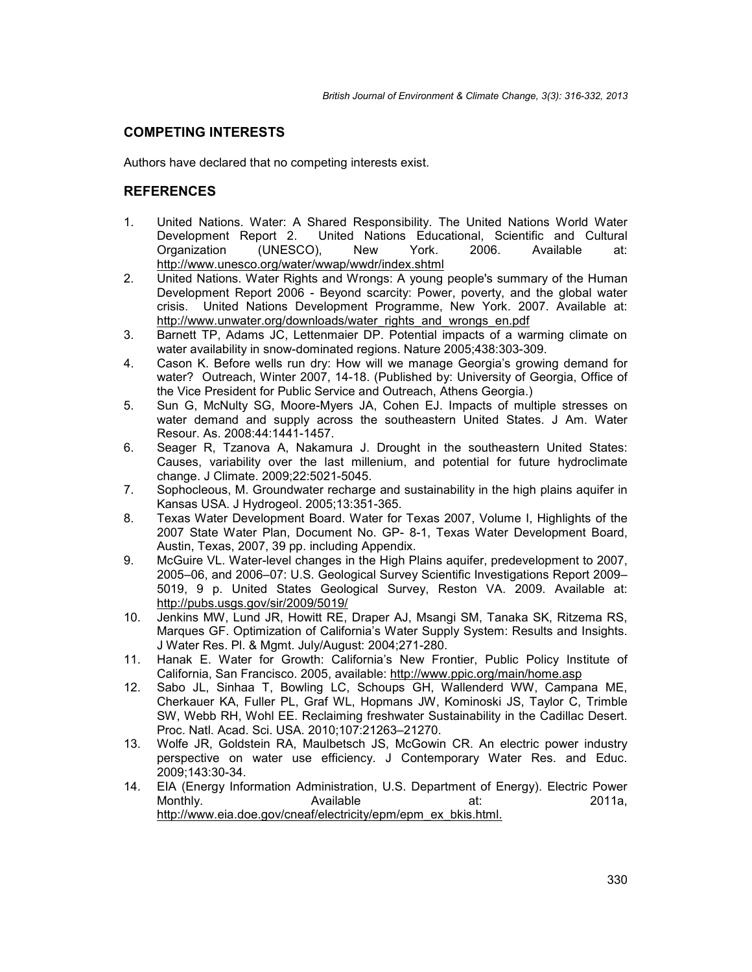## **COMPETING INTERESTS**

Authors have declared that no competing interests exist.

## **REFERENCES**

- 1. United Nations. Water: A Shared Responsibility. The United Nations World Water Development Report 2. United Nations Educational, Scientific and Cultural Corporation (UNESCO), New York. 2006. Available at: (UNESCO), New York. 2006. Available at: http://www.unesco.org/water/wwap/wwdr/index.shtml
- 2. United Nations. Water Rights and Wrongs: A young people's summary of the Human Development Report 2006 - Beyond scarcity: Power, poverty, and the global water crisis. United Nations Development Programme, New York. 2007. Available at: http://www.unwater.org/downloads/water\_rights\_and\_wrongs\_en.pdf
- 3. Barnett TP, Adams JC, Lettenmaier DP. Potential impacts of a warming climate on water availability in snow-dominated regions. Nature 2005;438:303-309.
- 4. Cason K. Before wells run dry: How will we manage Georgia's growing demand for water? Outreach, Winter 2007, 14-18. (Published by: University of Georgia, Office of the Vice President for Public Service and Outreach, Athens Georgia.)
- 5. Sun G, McNulty SG, Moore-Myers JA, Cohen EJ. Impacts of multiple stresses on water demand and supply across the southeastern United States. J Am. Water Resour. As. 2008:44:1441-1457.
- 6. Seager R, Tzanova A, Nakamura J. Drought in the southeastern United States: Causes, variability over the last millenium, and potential for future hydroclimate change. J Climate. 2009;22:5021-5045.
- 7. Sophocleous, M. Groundwater recharge and sustainability in the high plains aquifer in Kansas USA. J Hydrogeol. 2005;13:351-365.
- 8. Texas Water Development Board. Water for Texas 2007, Volume I, Highlights of the 2007 State Water Plan, Document No. GP- 8-1, Texas Water Development Board, Austin, Texas, 2007, 39 pp. including Appendix.
- 9. McGuire VL. Water-level changes in the High Plains aquifer, predevelopment to 2007, 2005–06, and 2006–07: U.S. Geological Survey Scientific Investigations Report 2009– 5019, 9 p. United States Geological Survey, Reston VA. 2009. Available at: http://pubs.usgs.gov/sir/2009/5019/
- 10. Jenkins MW, Lund JR, Howitt RE, Draper AJ, Msangi SM, Tanaka SK, Ritzema RS, Marques GF. Optimization of California's Water Supply System: Results and Insights. J Water Res. Pl. & Mgmt. July/August: 2004;271-280.
- 11. Hanak E. Water for Growth: California's New Frontier, Public Policy Institute of California, San Francisco. 2005, available: http://www.ppic.org/main/home.asp
- 12. Sabo JL, Sinhaa T, Bowling LC, Schoups GH, Wallenderd WW, Campana ME, Cherkauer KA, Fuller PL, Graf WL, Hopmans JW, Kominoski JS, Taylor C, Trimble SW, Webb RH, Wohl EE. Reclaiming freshwater Sustainability in the Cadillac Desert. Proc. Natl. Acad. Sci. USA. 2010;107:21263–21270.
- 13. Wolfe JR, Goldstein RA, Maulbetsch JS, McGowin CR. An electric power industry perspective on water use efficiency. J Contemporary Water Res. and Educ. 2009;143:30-34.
- 14. EIA (Energy Information Administration, U.S. Department of Energy). Electric Power Monthly. Available at: 2011a, http://www.eia.doe.gov/cneaf/electricity/epm/epm\_ex\_bkis.html.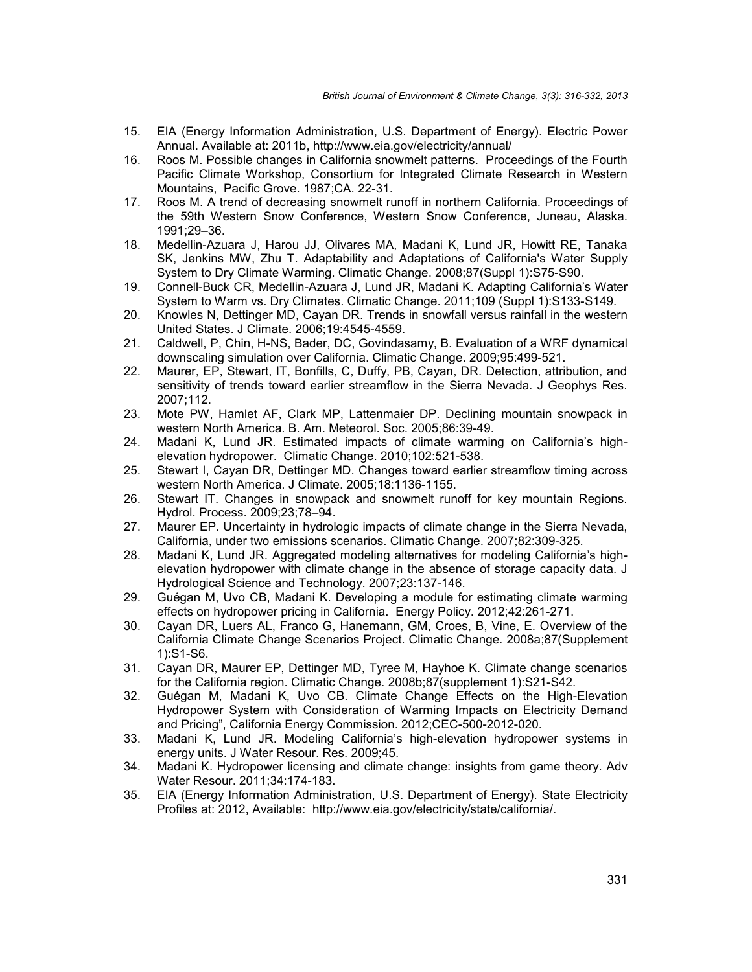- 15. EIA (Energy Information Administration, U.S. Department of Energy). Electric Power Annual. Available at: 2011b, http://www.eia.gov/electricity/annual/
- 16. Roos M. Possible changes in California snowmelt patterns. Proceedings of the Fourth Pacific Climate Workshop, Consortium for Integrated Climate Research in Western Mountains, Pacific Grove. 1987;CA. 22-31.
- 17. Roos M. A trend of decreasing snowmelt runoff in northern California. Proceedings of the 59th Western Snow Conference, Western Snow Conference, Juneau, Alaska. 1991;29–36.
- 18. Medellin-Azuara J, Harou JJ, Olivares MA, Madani K, Lund JR, Howitt RE, Tanaka SK, Jenkins MW, Zhu T. Adaptability and Adaptations of California's Water Supply System to Dry Climate Warming. Climatic Change. 2008;87(Suppl 1):S75-S90.
- 19. Connell-Buck CR, Medellin-Azuara J, Lund JR, Madani K. Adapting California's Water System to Warm vs. Dry Climates. Climatic Change. 2011;109 (Suppl 1):S133-S149.
- 20. Knowles N, Dettinger MD, Cayan DR. Trends in snowfall versus rainfall in the western United States. J Climate. 2006;19:4545-4559.
- 21. Caldwell, P, Chin, H-NS, Bader, DC, Govindasamy, B. Evaluation of a WRF dynamical downscaling simulation over California. Climatic Change. 2009;95:499-521.
- 22. Maurer, EP, Stewart, IT, Bonfills, C, Duffy, PB, Cayan, DR. Detection, attribution, and sensitivity of trends toward earlier streamflow in the Sierra Nevada. J Geophys Res. 2007;112.
- 23. Mote PW, Hamlet AF, Clark MP, Lattenmaier DP. Declining mountain snowpack in western North America. B. Am. Meteorol. Soc. 2005;86:39-49.
- 24. Madani K, Lund JR. Estimated impacts of climate warming on California's high elevation hydropower. Climatic Change. 2010;102:521-538.
- 25. Stewart I, Cayan DR, Dettinger MD. Changes toward earlier streamflow timing across western North America. J Climate. 2005;18:1136-1155.
- 26. Stewart IT. Changes in snowpack and snowmelt runoff for key mountain Regions. Hydrol. Process. 2009;23;78–94.
- 27. Maurer EP. Uncertainty in hydrologic impacts of climate change in the Sierra Nevada, California, under two emissions scenarios. Climatic Change. 2007;82:309-325.
- 28. Madani K, Lund JR. Aggregated modeling alternatives for modeling California's high elevation hydropower with climate change in the absence of storage capacity data. J Hydrological Science and Technology. 2007;23:137-146.
- 29. Guégan M, Uvo CB, Madani K. Developing a module for estimating climate warming effects on hydropower pricing in California. Energy Policy. 2012;42:261-271.
- 30. Cayan DR, Luers AL, Franco G, Hanemann, GM, Croes, B, Vine, E. Overview of the California Climate Change Scenarios Project. Climatic Change. 2008a;87(Supplement 1):S1-S6.
- 31. Cayan DR, Maurer EP, Dettinger MD, Tyree M, Hayhoe K. Climate change scenarios for the California region. Climatic Change. 2008b;87(supplement 1):S21-S42.
- 32. Guégan M, Madani K, Uvo CB. Climate Change Effects on the High-Elevation Hydropower System with Consideration of Warming Impacts on Electricity Demand and Pricing", California Energy Commission. 2012;CEC-500-2012-020.
- 33. Madani K, Lund JR. Modeling California's high-elevation hydropower systems in energy units. J Water Resour. Res. 2009;45.
- 34. Madani K. Hydropower licensing and climate change: insights from game theory. Adv Water Resour. 2011;34:174-183.
- 35. EIA (Energy Information Administration, U.S. Department of Energy). State Electricity Profiles at: 2012, Available: http://www.eia.gov/electricity/state/california/.